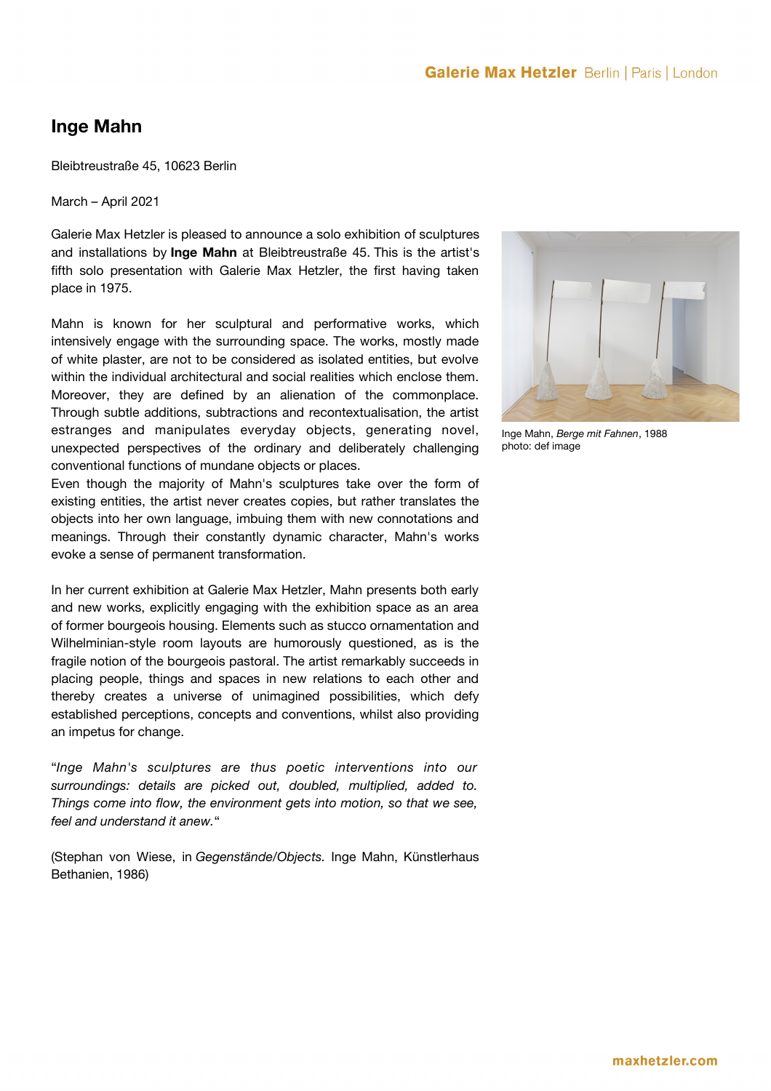## **Inge Mahn**

Bleibtreustraße 45, 10623 Berlin

March – April 2021

Galerie Max Hetzler is pleased to announce a solo exhibition of sculptures and installations by **Inge Mahn** at Bleibtreustraße 45. This is the artist's fifth solo presentation with Galerie Max Hetzler, the first having taken place in 1975.

Mahn is known for her sculptural and performative works, which intensively engage with the surrounding space. The works, mostly made of white plaster, are not to be considered as isolated entities, but evolve within the individual architectural and social realities which enclose them. Moreover, they are defined by an alienation of the commonplace. Through subtle additions, subtractions and recontextualisation, the artist estranges and manipulates everyday objects, generating novel, unexpected perspectives of the ordinary and deliberately challenging conventional functions of mundane objects or places.

Even though the majority of Mahn's sculptures take over the form of existing entities, the artist never creates copies, but rather translates the objects into her own language, imbuing them with new connotations and meanings. Through their constantly dynamic character, Mahn's works evoke a sense of permanent transformation.

In her current exhibition at Galerie Max Hetzler, Mahn presents both early and new works, explicitly engaging with the exhibition space as an area of former bourgeois housing. Elements such as stucco ornamentation and Wilhelminian-style room layouts are humorously questioned, as is the fragile notion of the bourgeois pastoral. The artist remarkably succeeds in placing people, things and spaces in new relations to each other and thereby creates a universe of unimagined possibilities, which defy established perceptions, concepts and conventions, whilst also providing an impetus for change.

"*Inge Mahn's sculptures are thus poetic interventions into our surroundings: details are picked out, doubled, multiplied, added to. Things come into flow, the environment gets into motion, so that we see, feel and understand it anew.*"

(Stephan von Wiese, in *Gegenstände/Objects.* Inge Mahn, Künstlerhaus Bethanien, 1986)



Inge Mahn, *Berge mit Fahnen*, 1988 photo: def image